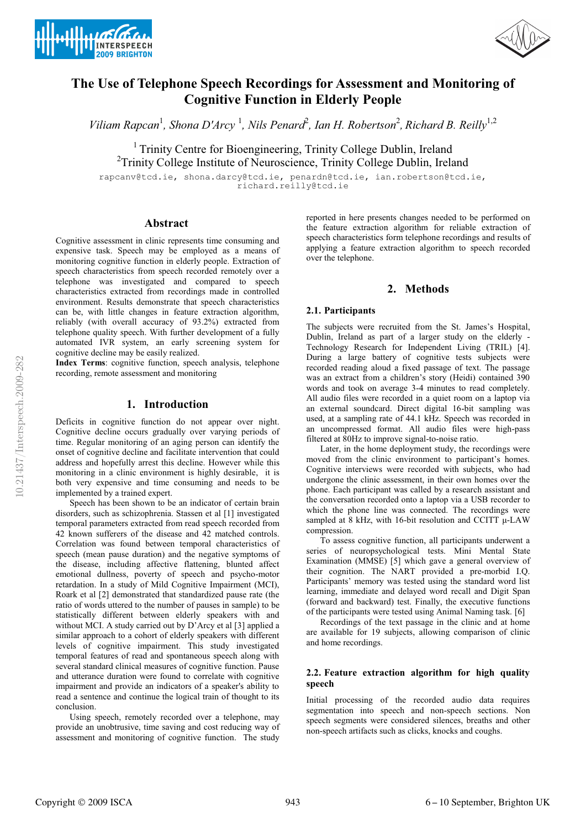



# **The Use of Telephone Speech Recordings for Assessment and Monitoring of Cognitive Function in Elderly People**

Viliam Rapcan<sup>1</sup>, Shona D'Arcy<sup>1</sup>, Nils Penard<sup>2</sup>, Ian H. Robertson<sup>2</sup>, Richard B. Reilly<sup>1,2</sup>

<sup>1</sup> Trinity Centre for Bioengineering, Trinity College Dublin, Ireland <sup>2</sup>Trinity College Institute of Neuroscience, Trinity College Dublin, Ireland

rapcanv@tcd.ie, shona.darcy@tcd.ie, penardn@tcd.ie, ian.robertson@tcd.ie, richard.reilly@tcd.ie

# **Abstract**

Cognitive assessment in clinic represents time consuming and expensive task. Speech may be employed as a means of monitoring cognitive function in elderly people. Extraction of speech characteristics from speech recorded remotely over a telephone was investigated and compared to speech characteristics extracted from recordings made in controlled environment. Results demonstrate that speech characteristics can be, with little changes in feature extraction algorithm, reliably (with overall accuracy of 93.2%) extracted from telephone quality speech. With further development of a fully automated IVR system, an early screening system for cognitive decline may be easily realized.

**Index Terms**: cognitive function, speech analysis, telephone recording, remote assessment and monitoring

# **1. Introduction**

Deficits in cognitive function do not appear over night. Cognitive decline occurs gradually over varying periods of time. Regular monitoring of an aging person can identify the onset of cognitive decline and facilitate intervention that could address and hopefully arrest this decline. However while this monitoring in a clinic environment is highly desirable, it is both very expensive and time consuming and needs to be implemented by a trained expert.

Speech has been shown to be an indicator of certain brain disorders, such as schizophrenia. Stassen et al [1] investigated temporal parameters extracted from read speech recorded from 42 known sufferers of the disease and 42 matched controls. Correlation was found between temporal characteristics of speech (mean pause duration) and the negative symptoms of the disease, including affective flattening, blunted affect emotional dullness, poverty of speech and psycho-motor retardation. In a study of Mild Cognitive Impairment (MCI), Roark et al [2] demonstrated that standardized pause rate (the ratio of words uttered to the number of pauses in sample) to be statistically different between elderly speakers with and without MCI. A study carried out by D'Arcy et al [3] applied a similar approach to a cohort of elderly speakers with different levels of cognitive impairment. This study investigated temporal features of read and spontaneous speech along with several standard clinical measures of cognitive function. Pause and utterance duration were found to correlate with cognitive impairment and provide an indicators of a speaker's ability to read a sentence and continue the logical train of thought to its conclusion.

Using speech, remotely recorded over a telephone, may provide an unobtrusive, time saving and cost reducing way of assessment and monitoring of cognitive function. The study

reported in here presents changes needed to be performed on the feature extraction algorithm for reliable extraction of speech characteristics form telephone recordings and results of applying a feature extraction algorithm to speech recorded over the telephone.

### **2. Methods**

### **2.1. Participants**

The subjects were recruited from the St. James's Hospital, Dublin, Ireland as part of a larger study on the elderly - Technology Research for Independent Living (TRIL) [4]. During a large battery of cognitive tests subjects were recorded reading aloud a fixed passage of text. The passage was an extract from a children's story (Heidi) contained 390 words and took on average 3-4 minutes to read completely. All audio files were recorded in a quiet room on a laptop via an external soundcard. Direct digital 16-bit sampling was used, at a sampling rate of 44.1 kHz. Speech was recorded in an uncompressed format. All audio files were high-pass filtered at 80Hz to improve signal-to-noise ratio.

Later, in the home deployment study, the recordings were moved from the clinic environment to participant's homes. Cognitive interviews were recorded with subjects, who had undergone the clinic assessment, in their own homes over the phone. Each participant was called by a research assistant and the conversation recorded onto a laptop via a USB recorder to which the phone line was connected. The recordings were sampled at 8 kHz, with 16-bit resolution and CCITT μ-LAW compression.

To assess cognitive function, all participants underwent a series of neuropsychological tests. Mini Mental State Examination (MMSE) [5] which gave a general overview of their cognition. The NART provided a pre-morbid I.Q. Participants' memory was tested using the standard word list learning, immediate and delayed word recall and Digit Span (forward and backward) test. Finally, the executive functions of the participants were tested using Animal Naming task. [6]

Recordings of the text passage in the clinic and at home are available for 19 subjects, allowing comparison of clinic and home recordings.

### **2.2. Feature extraction algorithm for high quality speech**

Initial processing of the recorded audio data requires segmentation into speech and non-speech sections. Non speech segments were considered silences, breaths and other non-speech artifacts such as clicks, knocks and coughs.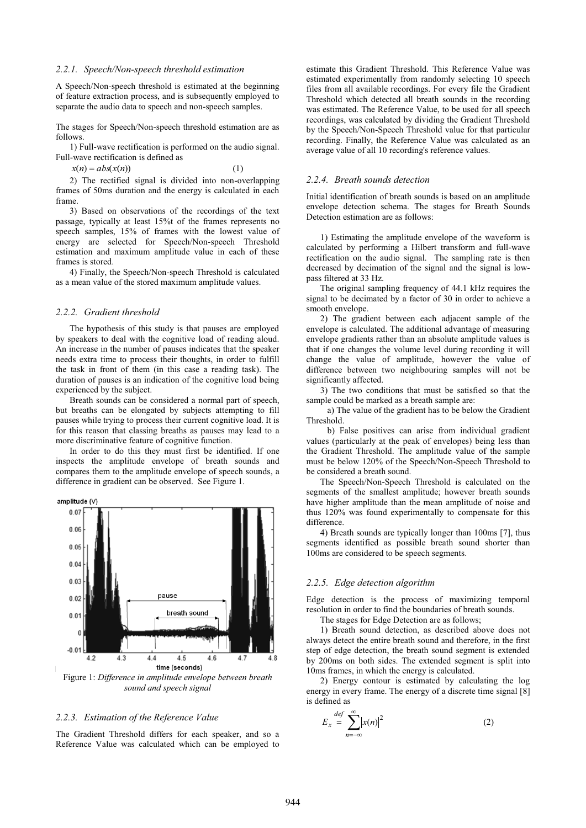#### *2.2.1. Speech/Non-speech threshold estimation*

A Speech/Non-speech threshold is estimated at the beginning of feature extraction process, and is subsequently employed to separate the audio data to speech and non-speech samples.

The stages for Speech/Non-speech threshold estimation are as follows.

1) Full-wave rectification is performed on the audio signal. Full-wave rectification is defined as

 $x(n) = abs(x(n))$  (1)

2) The rectified signal is divided into non-overlapping frames of 50ms duration and the energy is calculated in each frame.

3) Based on observations of the recordings of the text passage, typically at least 15%t of the frames represents no speech samples, 15% of frames with the lowest value of energy are selected for Speech/Non-speech Threshold estimation and maximum amplitude value in each of these frames is stored.

4) Finally, the Speech/Non-speech Threshold is calculated as a mean value of the stored maximum amplitude values.

#### *2.2.2. Gradient threshold*

The hypothesis of this study is that pauses are employed by speakers to deal with the cognitive load of reading aloud. An increase in the number of pauses indicates that the speaker needs extra time to process their thoughts, in order to fulfill the task in front of them (in this case a reading task). The duration of pauses is an indication of the cognitive load being experienced by the subject.

Breath sounds can be considered a normal part of speech, but breaths can be elongated by subjects attempting to fill pauses while trying to process their current cognitive load. It is for this reason that classing breaths as pauses may lead to a more discriminative feature of cognitive function.

In order to do this they must first be identified. If one inspects the amplitude envelope of breath sounds and compares them to the amplitude envelope of speech sounds, a difference in gradient can be observed. See Figure 1.



#### *2.2.3. Estimation of the Reference Value*

The Gradient Threshold differs for each speaker, and so a Reference Value was calculated which can be employed to estimate this Gradient Threshold. This Reference Value was estimated experimentally from randomly selecting 10 speech files from all available recordings. For every file the Gradient Threshold which detected all breath sounds in the recording was estimated. The Reference Value, to be used for all speech recordings, was calculated by dividing the Gradient Threshold by the Speech/Non-Speech Threshold value for that particular recording. Finally, the Reference Value was calculated as an average value of all 10 recording's reference values.

### *2.2.4. Breath sounds detection*

Initial identification of breath sounds is based on an amplitude envelope detection schema. The stages for Breath Sounds Detection estimation are as follows:

1) Estimating the amplitude envelope of the waveform is calculated by performing a Hilbert transform and full-wave rectification on the audio signal. The sampling rate is then decreased by decimation of the signal and the signal is lowpass filtered at 33 Hz.

The original sampling frequency of 44.1 kHz requires the signal to be decimated by a factor of 30 in order to achieve a smooth envelope.

2) The gradient between each adjacent sample of the envelope is calculated. The additional advantage of measuring envelope gradients rather than an absolute amplitude values is that if one changes the volume level during recording it will change the value of amplitude, however the value of difference between two neighbouring samples will not be significantly affected.

3) The two conditions that must be satisfied so that the sample could be marked as a breath sample are:

a) The value of the gradient has to be below the Gradient Threshold.

b) False positives can arise from individual gradient values (particularly at the peak of envelopes) being less than the Gradient Threshold. The amplitude value of the sample must be below 120% of the Speech/Non-Speech Threshold to be considered a breath sound.

The Speech/Non-Speech Threshold is calculated on the segments of the smallest amplitude; however breath sounds have higher amplitude than the mean amplitude of noise and thus 120% was found experimentally to compensate for this difference.

4) Breath sounds are typically longer than 100ms [7], thus segments identified as possible breath sound shorter than 100ms are considered to be speech segments.

#### *2.2.5. Edge detection algorithm*

Edge detection is the process of maximizing temporal resolution in order to find the boundaries of breath sounds.

The stages for Edge Detection are as follows;

1) Breath sound detection, as described above does not always detect the entire breath sound and therefore, in the first step of edge detection, the breath sound segment is extended by 200ms on both sides. The extended segment is split into 10ms frames, in which the energy is calculated.

2) Energy contour is estimated by calculating the log energy in every frame. The energy of a discrete time signal [8] is defined as

$$
E_x = \sum_{n=-\infty}^{def} |x(n)|^2
$$
 (2)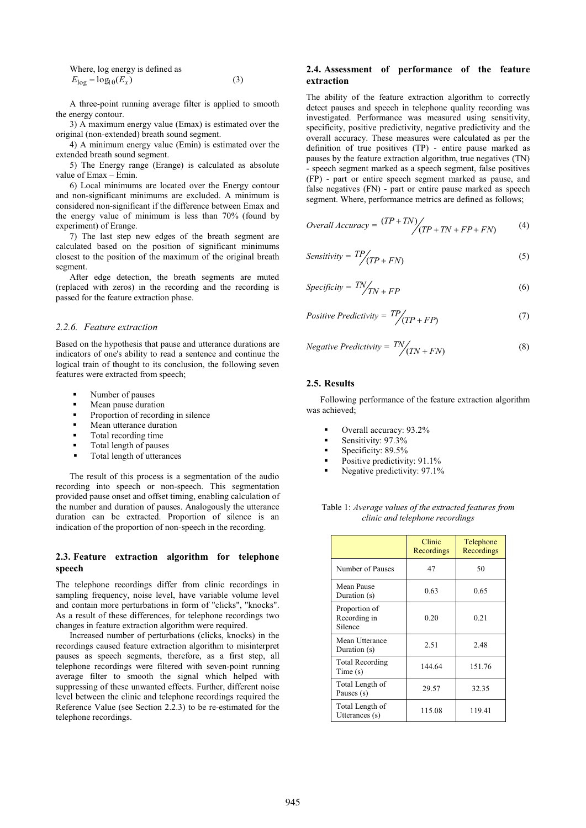Where, log energy is defined as  
\n
$$
E_{\log} = \log_{10}(E_x)
$$
\n(3)

A three-point running average filter is applied to smooth the energy contour.

3) A maximum energy value (Emax) is estimated over the original (non-extended) breath sound segment.

4) A minimum energy value (Emin) is estimated over the extended breath sound segment.

5) The Energy range (Erange) is calculated as absolute value of Emax – Emin.

6) Local minimums are located over the Energy contour and non-significant minimums are excluded. A minimum is considered non-significant if the difference between Emax and the energy value of minimum is less than 70% (found by experiment) of Erange.

7) The last step new edges of the breath segment are calculated based on the position of significant minimums closest to the position of the maximum of the original breath segment.

After edge detection, the breath segments are muted (replaced with zeros) in the recording and the recording is passed for the feature extraction phase.

# *2.2.6. Feature extraction*

Based on the hypothesis that pause and utterance durations are indicators of one's ability to read a sentence and continue the logical train of thought to its conclusion, the following seven features were extracted from speech;

- -Number of pauses
- -Mean pause duration
- -Proportion of recording in silence
- -Mean utterance duration
- -Total recording time
- -Total length of pauses
- -Total length of utterances

The result of this process is a segmentation of the audio recording into speech or non-speech. This segmentation provided pause onset and offset timing, enabling calculation of the number and duration of pauses. Analogously the utterance duration can be extracted. Proportion of silence is an indication of the proportion of non-speech in the recording.

# **2.3. Feature extraction algorithm for telephone speech**

The telephone recordings differ from clinic recordings in sampling frequency, noise level, have variable volume level and contain more perturbations in form of "clicks", "knocks". As a result of these differences, for telephone recordings two changes in feature extraction algorithm were required.

Increased number of perturbations (clicks, knocks) in the recordings caused feature extraction algorithm to misinterpret pauses as speech segments, therefore, as a first step, all telephone recordings were filtered with seven-point running average filter to smooth the signal which helped with suppressing of these unwanted effects. Further, different noise level between the clinic and telephone recordings required the Reference Value (see Section 2.2.3) to be re-estimated for the telephone recordings.

# **2.4. Assessment of performance of the feature extraction**

The ability of the feature extraction algorithm to correctly detect pauses and speech in telephone quality recording was investigated. Performance was measured using sensitivity, specificity, positive predictivity, negative predictivity and the overall accuracy. These measures were calculated as per the definition of true positives (TP) - entire pause marked as pauses by the feature extraction algorithm, true negatives (TN) - speech segment marked as a speech segment, false positives (FP) - part or entire speech segment marked as pause, and false negatives (FN) - part or entire pause marked as speech segment. Where, performance metrics are defined as follows;

Overall Accuracy = 
$$
\frac{(TP + TN)}{(TP + TN + FP + FN)}
$$
 (4)

$$
Sensitivity = \frac{TP}{(TP + FN)}
$$
 (5)

$$
Specificity = \frac{TN}{TN + FP}
$$
 (6)

$$
Positive Predictivity = TP / (TP + FP)
$$
 (7)

Negative Predictivity = 
$$
\frac{TN}{(TN + FN)}
$$
 (8)

#### **2.5. Results**

Following performance of the feature extraction algorithm was achieved;

- -Overall accuracy: 93.2%
- -Sensitivity: 97.3%
- -Specificity: 89.5%
- -Positive predictivity: 91.1%
- -Negative predictivity: 97.1%

Table 1: *Average values of the extracted features from clinic and telephone recordings* 

|                                          | Clinic<br>Recordings | Telephone<br>Recordings |
|------------------------------------------|----------------------|-------------------------|
| Number of Pauses                         | 47                   | 50                      |
| Mean Pause<br>Duration (s)               | 0.63                 | 0.65                    |
| Proportion of<br>Recording in<br>Silence | 0.20                 | 0.21                    |
| Mean Utterance<br>Duration (s)           | 2.51                 | 2.48                    |
| <b>Total Recording</b><br>Time(s)        | 144.64               | 151.76                  |
| Total Length of<br>Pauses (s)            | 29.57                | 32.35                   |
| Total Length of<br>Utterances (s)        | 115.08               | 119.41                  |